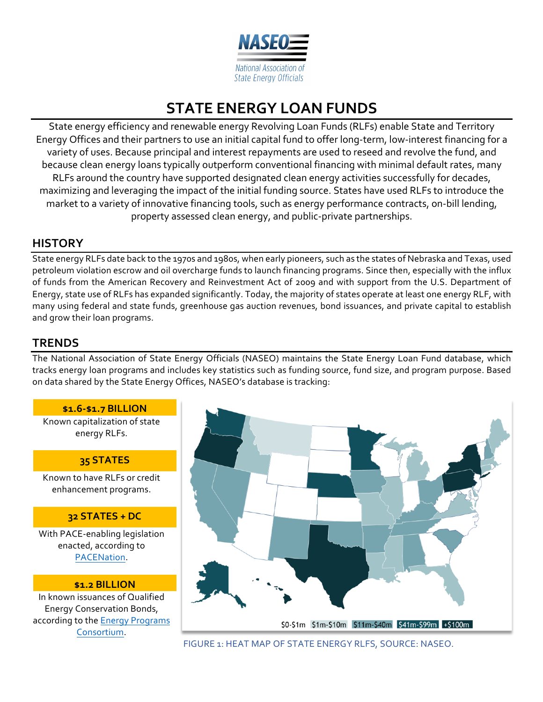

# **STATE ENERGY LOAN FUNDS**

State energy efficiency and renewable energy Revolving Loan Funds (RLFs) enable State and Territory Energy Offices and their partners to use an initial capital fund to offer long-term, low-interest financing for a variety of uses. Because principal and interest repayments are used to reseed and revolve the fund, and because clean energy loans typically outperform conventional financing with minimal default rates, many RLFs around the country have supported designated clean energy activities successfully for decades, maximizing and leveraging the impact of the initial funding source. States have used RLFs to introduce the market to a variety of innovative financing tools, such as energy performance contracts, on-bill lending, property assessed clean energy, and public-private partnerships.

### **HISTORY**

State energy RLFs date back to the 1970s and 1980s, when early pioneers, such as the states of Nebraska and Texas, used petroleum violation escrow and oil overcharge funds to launch financing programs. Since then, especially with the influx of funds from the American Recovery and Reinvestment Act of 2009 and with support from the U.S. Department of Energy, state use of RLFs has expanded significantly. Today, the majority of states operate at least one energy RLF, with many using federal and state funds, greenhouse gas auction revenues, bond issuances, and private capital to establish and grow their loan programs.

### **TRENDS**

The National Association of State Energy Officials (NASEO) maintains the State Energy Loan Fund database, which tracks energy loan programs and includes key statistics such as funding source, fund size, and program purpose. Based on data shared by the State Energy Offices, NASEO's database is tracking: